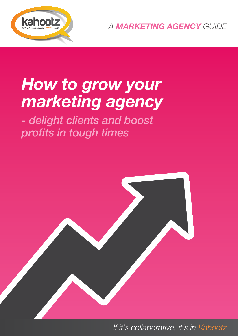

*A MARKETING AGENCY GUIDE*

## *How to grow your marketing agency*

*- delight clients and boost profits in tough times*



*Mit's collaborative, it's in Kahootz 16. Mit it's collaborative, it's in Kahootz*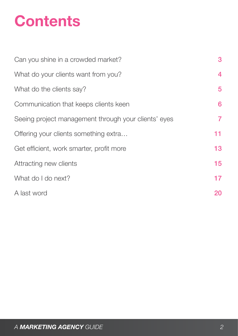# **Contents**

| Can you shine in a crowded market?                   | 3  |
|------------------------------------------------------|----|
| What do your clients want from you?                  | 4  |
| What do the clients say?                             | 5  |
| Communication that keeps clients keen                | 6  |
| Seeing project management through your clients' eyes | 7  |
| Offering your clients something extra                | 11 |
| Get efficient, work smarter, profit more             | 13 |
| Attracting new clients                               | 15 |
| What do I do next?                                   | 17 |
| A last word                                          | 20 |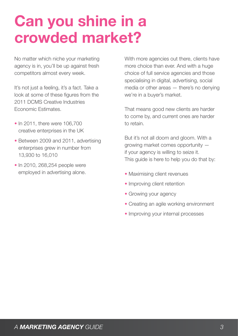### <span id="page-2-0"></span>**Can you shine in a crowded market?**

No matter which niche your marketing agency is in, you'll be up against fresh competitors almost every week.

It's not just a feeling, it's a fact. Take a look at some of these figures from the 2011 DCMS Creative Industries Economic Estimates.

- In 2011, there were 106,700 creative enterprises in the UK
- Between 2009 and 2011, advertising enterprises grew in number from 13,930 to 16,010
- In 2010, 268,254 people were employed in advertising alone.

With more agencies out there, clients have more choice than ever. And with a huge choice of full service agencies and those specialising in digital, advertising, social media or other areas — there's no denying we're in a buyer's market.

That means good new clients are harder to come by, and current ones are harder to retain.

But it's not all doom and gloom. With a growing market comes opportunity if your agency is willing to seize it. This guide is here to help you do that by:

- Maximising client revenues
- Improving client retention
- Growing your agency
- Creating an agile working environment
- Improving your internal processes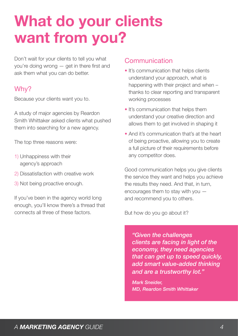## <span id="page-3-0"></span>**What do your clients want from you?**

Don't wait for your clients to tell you what you're doing wrong — get in there first and ask them what you can do better.

### Why?

Because your clients want you to.

A study of major agencies by Reardon Smith Whittaker asked clients what pushed them into searching for a new agency.

The top three reasons were:

- 1) Unhappiness with their agency's approach
- 2) Dissatisfaction with creative work
- 3) Not being proactive enough.

If you've been in the agency world long enough, you'll know there's a thread that connects all three of these factors.

#### **Communication**

- It's communication that helps clients understand your approach, what is happening with their project and when thanks to clear reporting and transparent working processes
- It's communication that helps them understand your creative direction and allows them to get involved in shaping it
- And it's communication that's at the heart of being proactive, allowing you to create a full picture of their requirements before any competitor does.

Good communication helps you give clients the service they want and helps you achieve the results they need. And that, in turn, encourages them to stay with you and recommend you to others.

But how do you go about it?

*"Given the challenges clients are facing in light of the economy, they need agencies that can get up to speed quickly, add smart value-added thinking and are a trustworthy lot."*

*Mark Sneider, MD, Reardon Smith Whittaker*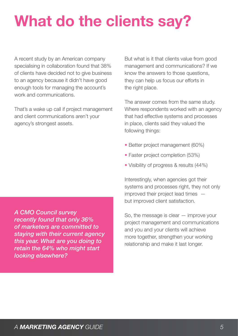# <span id="page-4-0"></span>**What do the clients say?**

A recent study by an American company specialising in collaboration found that 38% of clients have decided not to give business to an agency because it didn't have good enough tools for managing the account's work and communications.

That's a wake up call if project management and client communications aren't your agency's strongest assets.

*A CMO Council survey recently found that only 36% of marketers are committed to staying with their current agency this year. What are you doing to retain the 64% who might start looking elsewhere?*

But what is it that clients value from good management and communications? If we know the answers to those questions, they can help us focus our efforts in the right place.

The answer comes from the same study. Where respondents worked with an agency that had effective systems and processes in place, clients said they valued the following things:

- Better project management (60%)
- Faster project completion (53%)
- Visibility of progress & results (44%)

Interestingly, when agencies got their systems and processes right, they not only improved their project lead times but improved client satisfaction.

So, the message is clear — improve your project management and communications and you and your clients will achieve more together, strengthen your working relationship and make it last longer.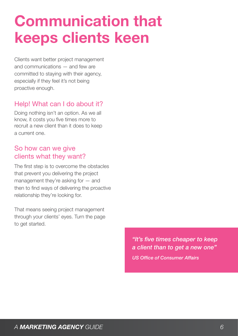## <span id="page-5-0"></span>**Communication that keeps clients keen**

Clients want better project management and communications — and few are committed to staying with their agency, especially if they feel it's not being proactive enough.

### Help! What can I do about it?

Doing nothing isn't an option. As we all know, it costs you five times more to recruit a new client than it does to keep a current one.

#### So how can we give clients what they want?

The first step is to overcome the obstacles that prevent you delivering the project management they're asking for — and then to find ways of delivering the proactive relationship they're looking for.

That means seeing project management through your clients' eyes. Turn the page to get started.

> *"It's five times cheaper to keep a client than to get a new one" US Office of Consumer Affairs*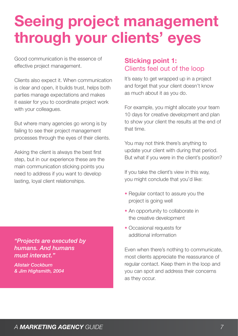### <span id="page-6-0"></span>**Seeing project management through your clients' eyes**

Good communication is the essence of effective project management.

Clients also expect it. When communication is clear and open, it builds trust, helps both parties manage expectations and makes it easier for you to coordinate project work with your colleagues.

But where many agencies go wrong is by failing to see their project management processes through the eyes of their clients.

Asking the client is always the best first step, but in our experience these are the main communication sticking points you need to address if you want to develop lasting, loyal client relationships.

*"Projects are executed by humans. And humans must interact."*

*Alistair Cockburn & Jim Highsmith, 2004*

### **Sticking point 1:** Clients feel out of the loop

It's easy to get wrapped up in a project and forget that your client doesn't know as much about it as you do.

For example, you might allocate your team 10 days for creative development and plan to show your client the results at the end of that time.

You may not think there's anything to update your client with during that period. But what if you were in the client's position?

If you take the client's view in this way, you might conclude that you'd like:

- Regular contact to assure you the project is going well
- An opportunity to collaborate in the creative development
- Occasional requests for additional information

Even when there's nothing to communicate, most clients appreciate the reassurance of regular contact. Keep them in the loop and you can spot and address their concerns as they occur.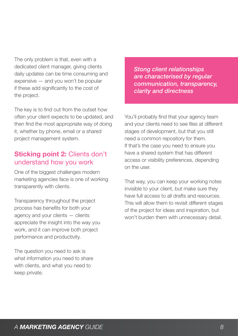The only problem is that, even with a dedicated client manager, giving clients daily updates can be time consuming and expensive — and you won't be popular if these add significantly to the cost of the project.

The key is to find out from the outset how often your client expects to be updated, and then find the most appropriate way of doing it, whether by phone, email or a shared project management system.

#### **Sticking point 2:** Clients don't understand how you work

One of the biggest challenges modern marketing agencies face is one of working transparently with clients.

Transparency throughout the project process has benefits for both your agency and your clients — clients appreciate the insight into the way you work, and it can improve both project performance and productivity.

The question you need to ask is what information you need to share with clients, and what you need to keep private.

*Stong client relationships are characterised by regular communication, transparency, clarity and directness*

You'll probably find that your agency team and your clients need to see files at different stages of development, but that you still need a common repository for them. If that's the case you need to ensure you have a shared system that has different access or visibility preferences, depending on the user.

That way, you can keep your working notes invisible to your client, but make sure they have full access to all drafts and resources. This will allow them to revisit different stages of the project for ideas and inspiration, but won't burden them with unnecessary detail.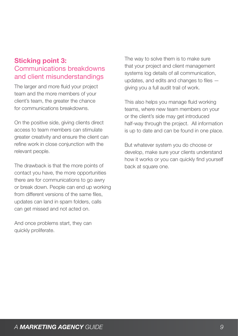### **Sticking point 3:**  Communications breakdowns and client misunderstandings

The larger and more fluid your project team and the more members of your client's team, the greater the chance for communications breakdowns.

On the positive side, giving clients direct access to team members can stimulate greater creativity and ensure the client can refine work in close conjunction with the relevant people.

The drawback is that the more points of contact you have, the more opportunities there are for communications to go awry or break down. People can end up working from different versions of the same files, updates can land in spam folders, calls can get missed and not acted on.

And once problems start, they can quickly proliferate.

The way to solve them is to make sure that your project and client management systems log details of all communication, updates, and edits and changes to files giving you a full audit trail of work.

This also helps you manage fluid working teams, where new team members on your or the client's side may get introduced half-way through the project. All information is up to date and can be found in one place.

But whatever system you do choose or develop, make sure your clients understand how it works or you can quickly find yourself back at square one.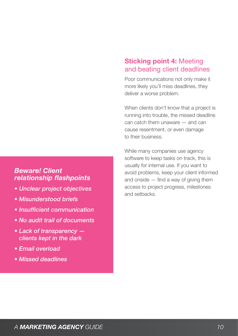#### *Beware! Client relationship flashpoints*

- *Unclear project objectives*
- *Misunderstood briefs*
- *Insufficient communication*
- *No audit trail of documents*
- *Lack of transparency clients kept in the dark*
- *Email overload*
- *Missed deadlines*

### **Sticking point 4:** Meeting and beating client deadlines

Poor communications not only make it more likely you'll miss deadlines, they deliver a worse problem.

When clients don't know that a project is running into trouble, the missed deadline can catch them unaware — and can cause resentment, or even damage to their business.

While many companies use agency software to keep tasks on track, this is usually for internal use. If you want to avoid problems, keep your client informed and onside — find a way of giving them access to project progress, milestones and setbacks.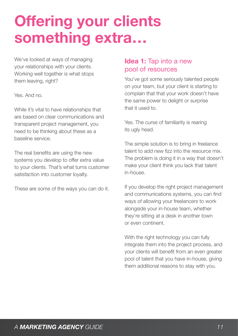## <span id="page-10-0"></span>**Offering your clients something extra…**

We've looked at ways of managing your relationships with your clients. Working well together is what stops them leaving, right?

Yes. And no.

While it's vital to have relationships that are based on clear communications and transparent project management, you need to be thinking about these as a baseline service.

The real benefits are using the new systems you develop to offer extra value to your clients. That's what turns customer satisfaction into customer loyalty.

These are some of the ways you can do it.

### **Idea 1:** Tap into a new pool of resources

You've got some seriously talented people on your team, but your client is starting to complain that that your work doesn't have the same power to delight or surprise that it used to.

Yes. The curse of familiarity is rearing its ugly head.

The simple solution is to bring in freelance talent to add new fizz into the resource mix. The problem is doing it in a way that doesn't make your client think you lack that talent in-house.

If you develop the right project management and communications systems, you can find ways of allowing your freelancers to work alongside your in-house team, whether they're sitting at a desk in another town or even continent.

With the right technology you can fully integrate them into the project process, and your clients will benefit from an even greater pool of talent that you have in-house, giving them additional reasons to stay with you.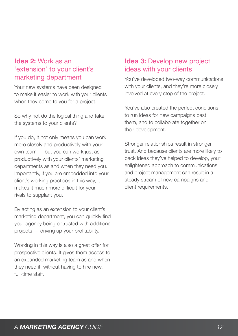### **Idea 2:** Work as an 'extension' to your client's marketing department

Your new systems have been designed to make it easier to work with your clients when they come to you for a project.

So why not do the logical thing and take the systems to your clients?

If you do, it not only means you can work more closely and productively with your own team — but you can work just as productively with your clients' marketing departments as and when they need you. Importantly, if you are embedded into your client's working practices in this way, it makes it much more difficult for your rivals to supplant you.

By acting as an extension to your client's marketing department, you can quickly find your agency being entrusted with additional projects — driving up your profitability.

Working in this way is also a great offer for prospective clients. It gives them access to an expanded marketing team as and when they need it, without having to hire new, full-time staff.

### **Idea 3:** Develop new project ideas with your clients

You've developed two-way communications with your clients, and they're more closely involved at every step of the project.

You've also created the perfect conditions to run ideas for new campaigns past them, and to collaborate together on their development.

Stronger relationships result in stronger trust. And because clients are more likely to back ideas they've helped to develop, your enlightened approach to communications and project management can result in a steady stream of new campaigns and client requirements.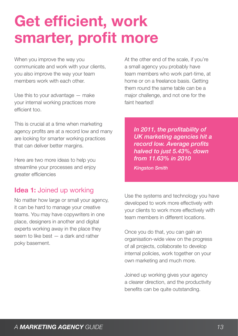## <span id="page-12-0"></span>**Get efficient, work smarter, profit more**

When you improve the way you communicate and work with your clients, you also improve the way your team members work with each other.

Use this to your advantage — make your internal working practices more efficient too.

This is crucial at a time when marketing agency profits are at a record low and many are looking for smarter working practices that can deliver better margins.

Here are two more ideas to help you streamline your processes and enjoy greater efficiencies

### **Idea 1:** Joined up working

No matter how large or small your agency, it can be hard to manage your creative teams. You may have copywriters in one place, designers in another and digital experts working away in the place they seem to like best — a dark and rather poky basement.

At the other end of the scale, if you're a small agency you probably have team members who work part-time, at home or on a freelance basis. Getting them round the same table can be a major challenge, and not one for the faint hearted!

*In 2011, the profitability of UK marketing agencies hit a record low. Average profits halved to just 5.43%, down from 11.63% in 2010*

*Kingston Smith*

Use the systems and technology you have developed to work more effectively with your clients to work more effectively with team members in different locations.

Once you do that, you can gain an organisation-wide view on the progress of all projects, collaborate to develop internal policies, work together on your own marketing and much more.

Joined up working gives your agency a clearer direction, and the productivity benefits can be quite outstanding.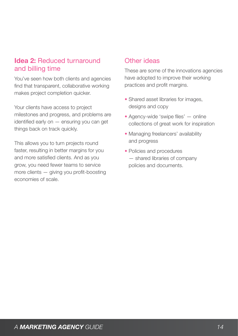#### **Idea 2:** Reduced turnaround and billing time

You've seen how both clients and agencies find that transparent, collaborative working makes project completion quicker.

Your clients have access to project milestones and progress, and problems are identified early on — ensuring you can get things back on track quickly.

This allows you to turn projects round faster, resulting in better margins for you and more satisfied clients. And as you grow, you need fewer teams to service more clients — giving you profit-boosting economies of scale.

#### Other ideas

These are some of the innovations agencies have adopted to improve their working practices and profit margins.

- Shared asset libraries for images, designs and copy
- Agency-wide 'swipe files' online collections of great work for inspiration
- Managing freelancers' availability and progress
- Policies and procedures — shared libraries of company policies and documents.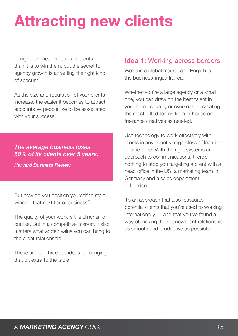## <span id="page-14-0"></span>**Attracting new clients**

It might be cheaper to retain clients than it is to win them, but the secret to agency growth is attracting the right kind of account.

As the size and reputation of your clients increase, the easier it becomes to attract accounts — people like to be associated with your success.

#### *The average business loses 50% of its clients over 5 years.*

*Harvard Business Review*

But how do you position yourself to start winning that next tier of business?

The quality of your work is the clincher, of course. But in a competitive market, it also matters what added value you can bring to the client relationship.

These are our three top ideas for bringing that bit extra to the table.

### **Idea 1:** Working across borders

We're in a global market and English is the business lingua franca.

Whether you're a large agency or a small one, you can draw on the best talent in your home country or overseas — creating the most gifted teams from in-house and freelance creatives as needed.

Use technology to work effectively with clients in any country, regardless of location of time zone. With the right systems and approach to communications, there's nothing to stop you targeting a client with a head office in the US, a marketing team in Germany and a sales department in London.

It's an approach that also reassures potential clients that you're used to working internationally — and that you've found a way of making the agency/client relationship as smooth and productive as possible.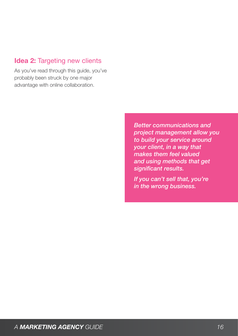### **Idea 2: Targeting new clients**

As you've read through this guide, you've probably been struck by one major advantage with online collaboration.

> *Better communications and project management allow you to build your service around your client, in a way that makes them feel valued and using methods that get significant results.*

*If you can't sell that, you're in the wrong business.*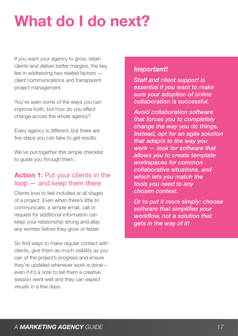## <span id="page-16-0"></span>**What do I do next?**

If you want your agency to grow, retain clients and deliver better margins, the key lies in addressing two related factors client communications and transparent project management.

You've seen some of the ways you can improve both, but how do you effect change across the whole agency?

Every agency is different, but there are five steps you can take to get results.

We've put together this simple checklist to guide you through them.

#### **Action 1: Put your clients in the** loop — and keep them there

Clients love to feel included at all stages of a project. Even when there's little to communicate, a simple email, call or request for additional information can keep your relationship strong and allay any worries before they grow or fester.

So find ways to make regular contact with clients, give them as much visibility as you can of the project's progress and ensure they're updated whenever work is done even if it's a note to tell them a creative session went well and they can expect visuals in a few days.

#### *Important!*

*Staff and client support is essential if you want to make sure your adoption of online collaboration is successful.*

*Avoid collaboration software that forces you to completely change the way you do things. Instead, opt for an agile solution that adapts to the way you work — look for software that allows you to create template workspaces for common collaborative situations, and which lets you match the tools you need to any chosen context.* 

*Or to put it more simply: choose software that simplifies your workflow, not a solution that gets in the way of it!*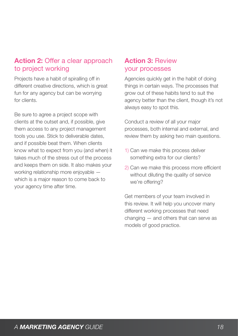### **Action 2:** Offer a clear approach to project working

Projects have a habit of spiralling off in different creative directions, which is great fun for any agency but can be worrying for clients.

Be sure to agree a project scope with clients at the outset and, if possible, give them access to any project management tools you use. Stick to deliverable dates, and if possible beat them. When clients know what to expect from you (and when) it takes much of the stress out of the process and keeps them on side. It also makes your working relationship more enjoyable which is a major reason to come back to your agency time after time.

### **Action 3:** Review your processes

Agencies quickly get in the habit of doing things in certain ways. The processes that grow out of these habits tend to suit the agency better than the client, though it's not always easy to spot this.

Conduct a review of all your major processes, both internal and external, and review them by asking two main questions.

- 1) Can we make this process deliver something extra for our clients?
- 2) Can we make this process more efficient without diluting the quality of service we're offering?

Get members of your team involved in this review. It will help you uncover many different working processes that need changing — and others that can serve as models of good practice.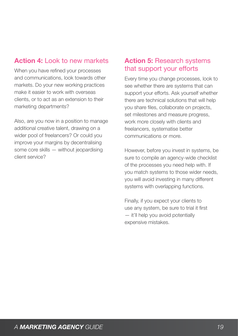### **Action 4:** Look to new markets

When you have refined your processes and communications, look towards other markets. Do your new working practices make it easier to work with overseas clients, or to act as an extension to their marketing departments?

Also, are you now in a position to manage additional creative talent, drawing on a wider pool of freelancers? Or could you improve your margins by decentralising some core skills — without jeopardising client service?

### **Action 5:** Research systems that support your efforts

Every time you change processes, look to see whether there are systems that can support your efforts. Ask yourself whether there are technical solutions that will help you share files, collaborate on projects, set milestones and measure progress, work more closely with clients and freelancers, systematise better communications or more.

However, before you invest in systems, be sure to compile an agency-wide checklist of the processes you need help with. If you match systems to those wider needs, you will avoid investing in many different systems with overlapping functions.

Finally, if you expect your clients to use any system, be sure to trial it first — it'll help you avoid potentially expensive mistakes.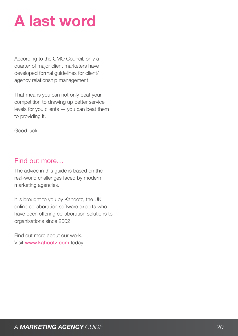### <span id="page-19-0"></span>**A last word**

According to the CMO Council, only a quarter of major client marketers have developed formal guidelines for client/ agency relationship management.

That means you can not only beat your competition to drawing up better service levels for you clients  $-$  you can beat them to providing it.

Good luck!

### Find out more…

The advice in this guide is based on the real-world challenges faced by modern marketing agencies.

It is brought to you by Kahootz, the UK online collaboration software experts who have been offering collaboration solutions to organisations since 2002.

Find out more about our work. Visit www.kahootz.com today.